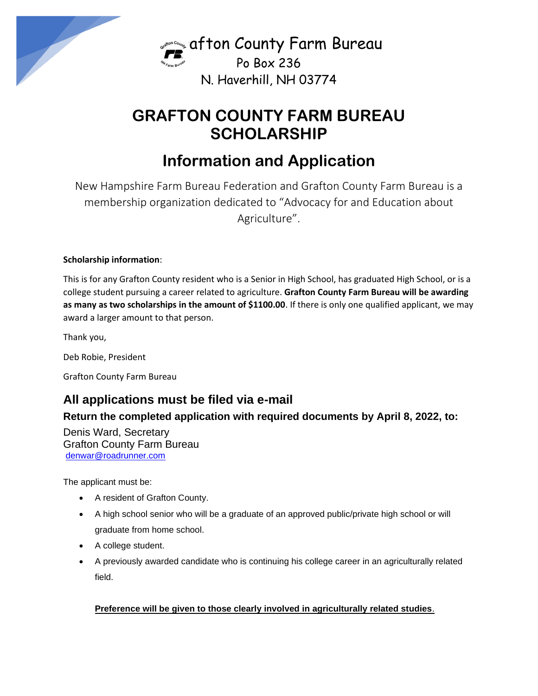

Gram Bureau Po Box 236 N. Haverhill, NH 03774

# **GRAFTON COUNTY FARM BUREAU SCHOLARSHIP**

# **Information and Application**

New Hampshire Farm Bureau Federation and Grafton County Farm Bureau is a membership organization dedicated to "Advocacy for and Education about Agriculture".

#### **Scholarship information**:

This is for any Grafton County resident who is a Senior in High School, has graduated High School, or is a college student pursuing a career related to agriculture. **Grafton County Farm Bureau will be awarding**  as many as two scholarships in the amount of \$1100.00. If there is only one qualified applicant, we may award a larger amount to that person.

Thank you,

Deb Robie, President

Grafton County Farm Bureau

### **All applications must be filed via e-mail**

### **Return the completed application with required documents by April 8, 2022, to:**

Denis Ward, Secretary Grafton County Farm Bureau [denwar@roadrunner.com](mailto:denwar@roadrunner.com)

The applicant must be:

- A resident of Grafton County.
- A high school senior who will be a graduate of an approved public/private high school or will graduate from home school.
- A college student.
- A previously awarded candidate who is continuing his college career in an agriculturally related field.

#### **Preference will be given to those clearly involved in agriculturally related studies**.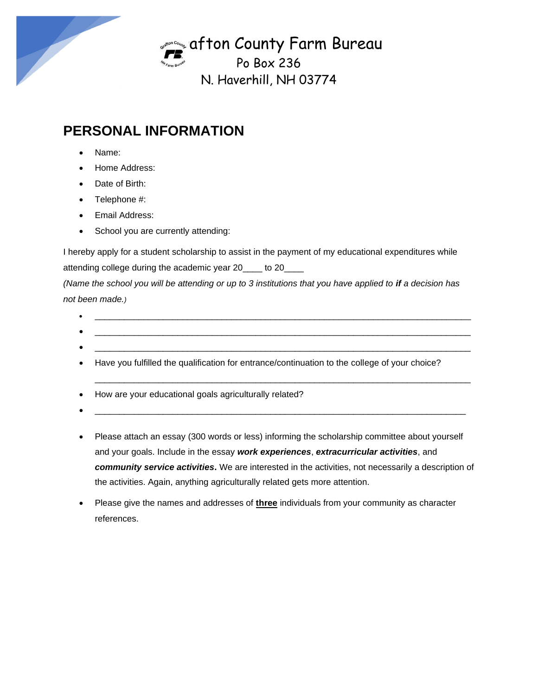Gram Bureau Po Box 236

N. Haverhill, NH 03774

## **PERSONAL INFORMATION**

- Name:
- Home Address:
- Date of Birth:
- Telephone #:
- Email Address:
- School you are currently attending:

I hereby apply for a student scholarship to assist in the payment of my educational expenditures while attending college during the academic year 20\_\_\_\_ to 20\_\_\_\_

*(Name the school you will be attending or up to 3 institutions that you have applied to if a decision has not been made.)* 

•  $\qquad \qquad \bullet$   $\qquad \qquad$ 

\_\_\_\_\_\_\_\_\_\_\_\_\_\_\_\_\_\_\_\_\_\_\_\_\_\_\_\_\_\_\_\_\_\_\_\_\_\_\_\_\_\_\_\_\_\_\_\_\_\_\_\_\_\_\_\_\_\_\_\_\_\_\_\_\_\_\_\_\_\_\_\_\_\_\_\_\_

- $\qquad \qquad \bullet$   $\qquad \qquad \bullet$   $\qquad \qquad \bullet$   $\qquad \qquad \bullet$   $\qquad \qquad \bullet$   $\qquad \bullet$   $\qquad \bullet$   $\qquad \bullet$   $\qquad \bullet$   $\qquad \bullet$   $\qquad \bullet$   $\qquad \bullet$   $\qquad \bullet$   $\qquad \bullet$   $\qquad \bullet$   $\qquad \bullet$   $\qquad \bullet$   $\qquad \bullet$   $\qquad \bullet$   $\qquad \bullet$   $\qquad \bullet$   $\qquad \bullet$   $\qquad \bullet$   $\qquad \bullet$   $\qquad \bullet$   $\qquad$ •  $\qquad \qquad \bullet$   $\qquad \qquad \bullet$   $\qquad \qquad \bullet$   $\qquad \qquad \bullet$   $\qquad \qquad \bullet$   $\qquad \bullet$   $\qquad \bullet$   $\qquad \bullet$   $\qquad \bullet$   $\qquad \bullet$   $\qquad \bullet$   $\qquad \bullet$   $\qquad \bullet$   $\qquad \bullet$   $\qquad \bullet$   $\qquad \bullet$   $\qquad \bullet$   $\qquad \bullet$   $\qquad \bullet$   $\qquad \bullet$   $\qquad \bullet$   $\qquad \bullet$   $\qquad \bullet$   $\qquad \bullet$   $\qquad \bullet$   $\qquad$
- Have you fulfilled the qualification for entrance/continuation to the college of your choice?
- How are your educational goals agriculturally related?
- $\qquad \qquad \bullet$   $\qquad \qquad$
- Please attach an essay (300 words or less) informing the scholarship committee about yourself and your goals. Include in the essay *work experiences*, *extracurricular activities*, and *community service activities***.** We are interested in the activities, not necessarily a description of the activities. Again, anything agriculturally related gets more attention.
- Please give the names and addresses of **three** individuals from your community as character references.